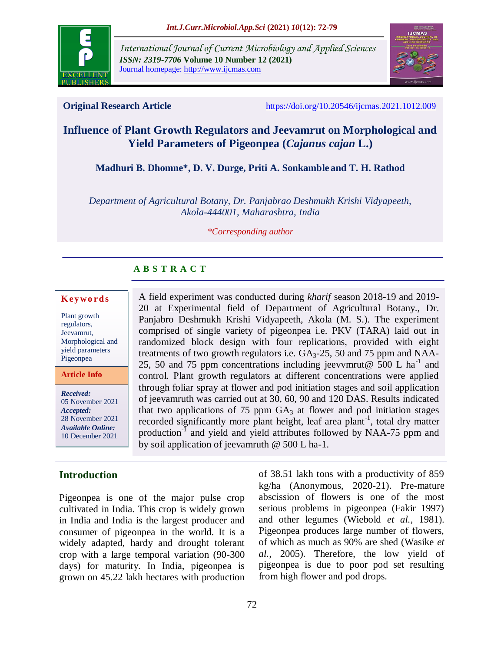

*International Journal of Current Microbiology and Applied Sciences ISSN: 2319-7706* **Volume 10 Number 12 (2021)**  Journal homepage: http://www.ijcmas.com



**Original Research Article** <https://doi.org/10.20546/ijcmas.2021.1012.009>

# **Influence of Plant Growth Regulators and Jeevamrut on Morphological and Yield Parameters of Pigeonpea (***Cajanus cajan* **L.)**

**Madhuri B. Dhomne\*, D. V. Durge, Priti A. Sonkamble and T. H. Rathod**

*Department of Agricultural Botany, Dr. Panjabrao Deshmukh Krishi Vidyapeeth, Akola-444001, Maharashtra, India*

*\*Corresponding author*

## **A B S T R A C T**

#### **K ey w o rd s**

Plant growth regulators, Jeevamrut, Morphological and yield parameters Pigeonpea

**Article Info**

*Received:*  05 November 2021 *Accepted:*  28 November 2021 *Available Online:* 10 December 2021

## **Introduction**

Pigeonpea is one of the major pulse crop cultivated in India. This crop is widely grown in India and India is the largest producer and consumer of pigeonpea in the world. It is a widely adapted, hardy and drought tolerant crop with a large temporal variation (90-300 days) for maturity. In India, pigeonpea is grown on 45.22 lakh hectares with production

A field experiment was conducted during *kharif* season 2018-19 and 2019- 20 at Experimental field of Department of Agricultural Botany., Dr. Panjabro Deshmukh Krishi Vidyapeeth, Akola (M. S.). The experiment comprised of single variety of pigeonpea i.e. PKV (TARA) laid out in randomized block design with four replications, provided with eight treatments of two growth regulators i.e.  $GA<sub>3</sub>$ -25, 50 and 75 ppm and NAA-25, 50 and 75 ppm concentrations including jeevvmrut@  $500$  L ha<sup>-1</sup> and control. Plant growth regulators at different concentrations were applied through foliar spray at flower and pod initiation stages and soil application of jeevamruth was carried out at 30, 60, 90 and 120 DAS. Results indicated that two applications of 75 ppm  $GA_3$  at flower and pod initiation stages recorded significantly more plant height, leaf area plant<sup>-1</sup>, total dry matter production<sup>-I</sup> and yield and yield attributes followed by NAA-75 ppm and by soil application of jeevamruth @ 500 L ha-1.

> of 38.51 lakh tons with a productivity of 859 kg/ha (Anonymous, 2020-21). Pre-mature abscission of flowers is one of the most serious problems in pigeonpea (Fakir 1997) and other legumes (Wiebold *et al.,* 1981). Pigeonpea produces large number of flowers, of which as much as 90% are shed (Wasike *et al.,* 2005). Therefore, the low yield of pigeonpea is due to poor pod set resulting from high flower and pod drops.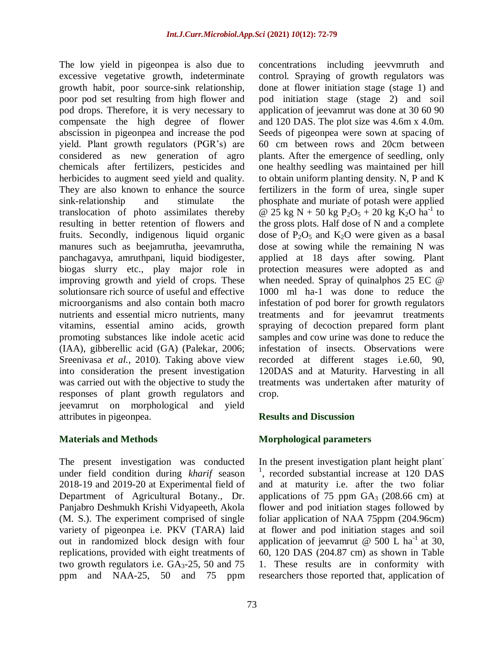The low yield in pigeonpea is also due to excessive vegetative growth, indeterminate growth habit, poor source-sink relationship, poor pod set resulting from high flower and pod drops. Therefore, it is very necessary to compensate the high degree of flower abscission in pigeonpea and increase the pod yield. Plant growth regulators (PGR's) are considered as new generation of agro chemicals after fertilizers, pesticides and herbicides to augment seed yield and quality. They are also known to enhance the source sink-relationship and stimulate the translocation of photo assimilates thereby resulting in better retention of flowers and fruits. Secondly, indigenous liquid organic manures such as beejamrutha, jeevamrutha, panchagavya, amruthpani, liquid biodigester, biogas slurry etc., play major role in improving growth and yield of crops. These solutionsare rich source of useful and effective microorganisms and also contain both macro nutrients and essential micro nutrients, many vitamins, essential amino acids, growth promoting substances like indole acetic acid (IAA), gibberellic acid (GA) (Palekar, 2006; Sreenivasa *et al.,* 2010). Taking above view into consideration the present investigation was carried out with the objective to study the responses of plant growth regulators and jeevamrut on morphological and yield attributes in pigeonpea.

#### **Materials and Methods**

The present investigation was conducted under field condition during *kharif* season 2018-19 and 2019-20 at Experimental field of Department of Agricultural Botany., Dr. Panjabro Deshmukh Krishi Vidyapeeth, Akola (M. S.). The experiment comprised of single variety of pigeonpea i.e. PKV (TARA) laid out in randomized block design with four replications, provided with eight treatments of two growth regulators i.e.  $GA<sub>3</sub>$ -25, 50 and 75 ppm and NAA-25, 50 and 75 ppm

concentrations including jeevvmruth and control. Spraying of growth regulators was done at flower initiation stage (stage 1) and pod initiation stage (stage 2) and soil application of jeevamrut was done at 30 60 90 and 120 DAS. The plot size was 4.6m x 4.0m. Seeds of pigeonpea were sown at spacing of 60 cm between rows and 20cm between plants. After the emergence of seedling, only one healthy seedling was maintained per hill to obtain uniform planting density. N, P and K fertilizers in the form of urea, single super phosphate and muriate of potash were applied @ 25 kg N + 50 kg P<sub>2</sub>O<sub>5</sub> + 20 kg K<sub>2</sub>O ha<sup>-1</sup> to the gross plots. Half dose of N and a complete dose of  $P_2O_5$  and  $K_2O$  were given as a basal dose at sowing while the remaining N was applied at 18 days after sowing. Plant protection measures were adopted as and when needed. Spray of quinalphos 25 EC @ 1000 ml ha-1 was done to reduce the infestation of pod borer for growth regulators treatments and for jeevamrut treatments spraying of decoction prepared form plant samples and cow urine was done to reduce the infestation of insects. Observations were recorded at different stages i.e.60, 90, 120DAS and at Maturity. Harvesting in all treatments was undertaken after maturity of crop.

#### **Results and Discussion**

#### **Morphological parameters**

In the present investigation plant height plant-<sup>1</sup>, recorded substantial increase at 120 DAS and at maturity i.e. after the two foliar applications of 75 ppm  $GA_3$  (208.66 cm) at flower and pod initiation stages followed by foliar application of NAA 75ppm (204.96cm) at flower and pod initiation stages and soil application of jeevamrut @ 500 L ha<sup>-1</sup> at 30, 60, 120 DAS (204.87 cm) as shown in Table 1. These results are in conformity with researchers those reported that, application of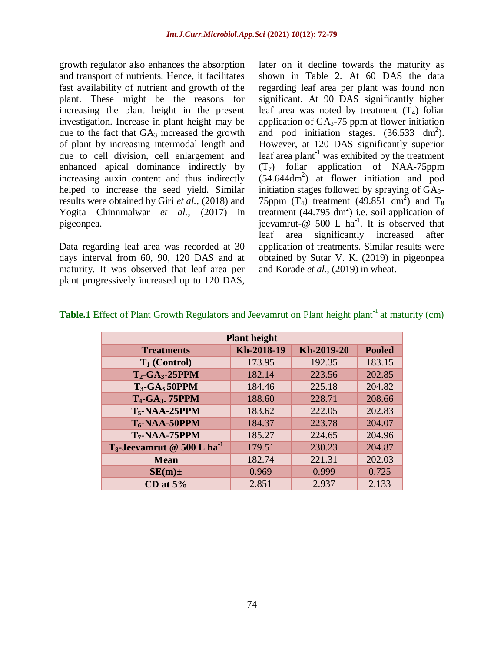growth regulator also enhances the absorption and transport of nutrients. Hence, it facilitates fast availability of nutrient and growth of the plant. These might be the reasons for increasing the plant height in the present investigation. Increase in plant height may be due to the fact that  $GA_3$  increased the growth of plant by increasing intermodal length and due to cell division, cell enlargement and enhanced apical dominance indirectly by increasing auxin content and thus indirectly helped to increase the seed yield. Similar results were obtained by Giri *et al.,* (2018) and Yogita Chinnmalwar *et al.,* (2017) in pigeonpea.

Data regarding leaf area was recorded at 30 days interval from 60, 90, 120 DAS and at maturity. It was observed that leaf area per plant progressively increased up to 120 DAS, later on it decline towards the maturity as shown in Table 2. At 60 DAS the data regarding leaf area per plant was found non significant. At 90 DAS significantly higher leaf area was noted by treatment  $(T_4)$  foliar application of  $GA_3$ -75 ppm at flower initiation and pod initiation stages.  $(36.533 \text{ dm}^2)$ . However, at 120 DAS significantly superior leaf area plant<sup>-1</sup> was exhibited by the treatment  $(T<sub>7</sub>)$  foliar application of NAA-75ppm (54.644dm<sup>2</sup> ) at flower initiation and pod initiation stages followed by spraying of  $GA<sub>3</sub>$ -75ppm (T<sub>4</sub>) treatment (49.851 dm<sup>2</sup>) and T<sub>8</sub> treatment  $(44.795 \text{ dm}^2)$  i.e. soil application of jeevamrut-@ 500 L ha<sup>-1</sup>. It is observed that leaf area significantly increased after application of treatments. Similar results were obtained by Sutar V. K. (2019) in pigeonpea and Korade *et al.,* (2019) in wheat.

| <b>Plant height</b>                       |            |            |               |  |  |  |  |  |  |  |  |
|-------------------------------------------|------------|------------|---------------|--|--|--|--|--|--|--|--|
| <b>Treatments</b>                         | Kh-2018-19 | Kh-2019-20 | <b>Pooled</b> |  |  |  |  |  |  |  |  |
| $T_1$ (Control)                           | 173.95     | 192.35     | 183.15        |  |  |  |  |  |  |  |  |
| $T_2$ -GA <sub>3</sub> -25PPM             | 182.14     | 223.56     | 202.85        |  |  |  |  |  |  |  |  |
| $T_3$ -GA <sub>3</sub> 50PPM              | 184.46     | 225.18     | 204.82        |  |  |  |  |  |  |  |  |
| T <sub>4</sub> -GA <sub>3</sub> 75PPM     | 188.60     | 228.71     | 208.66        |  |  |  |  |  |  |  |  |
| $T_5$ -NAA-25PPM                          | 183.62     | 222.05     | 202.83        |  |  |  |  |  |  |  |  |
| $T_6$ -NAA-50PPM                          | 184.37     | 223.78     | 204.07        |  |  |  |  |  |  |  |  |
| $T_7$ -NAA-75PPM                          | 185.27     | 224.65     | 204.96        |  |  |  |  |  |  |  |  |
| $T_8$ -Jeevamrut @ 500 L ha <sup>-1</sup> | 179.51     | 230.23     | 204.87        |  |  |  |  |  |  |  |  |
| <b>Mean</b>                               | 182.74     | 221.31     | 202.03        |  |  |  |  |  |  |  |  |
| $SE(m) \pm$                               | 0.969      | 0.999      | 0.725         |  |  |  |  |  |  |  |  |
| CD at $5%$                                | 2.851      | 2.937      | 2.133         |  |  |  |  |  |  |  |  |

## **Table.1** Effect of Plant Growth Regulators and Jeevamrut on Plant height plant<sup>-1</sup> at maturity (cm)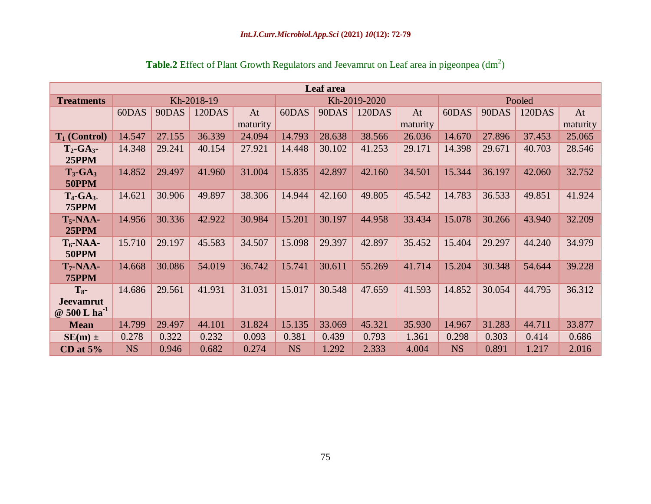| Leaf area                                          |           |        |            |                |           |        |               |                |           |        |               |                |  |
|----------------------------------------------------|-----------|--------|------------|----------------|-----------|--------|---------------|----------------|-----------|--------|---------------|----------------|--|
| <b>Treatments</b>                                  |           |        | Kh-2018-19 |                |           |        | Kh-2019-2020  |                | Pooled    |        |               |                |  |
|                                                    | 60DAS     | 90DAS  | 120DAS     | At<br>maturity | 60DAS     | 90DAS  | <b>120DAS</b> | At<br>maturity | 60DAS     | 90DAS  | <b>120DAS</b> | At<br>maturity |  |
| $T_1$ (Control)                                    | 14.547    | 27.155 | 36.339     | 24.094         | 14.793    | 28.638 | 38.566        | 26.036         | 14.670    | 27.896 | 37.453        | 25.065         |  |
| $T_2$ -GA <sub>3</sub> -<br>25PPM                  | 14.348    | 29.241 | 40.154     | 27.921         | 14.448    | 30.102 | 41.253        | 29.171         | 14.398    | 29.671 | 40.703        | 28.546         |  |
| $T_3$ -GA <sub>3</sub><br>50PPM                    | 14.852    | 29.497 | 41.960     | 31.004         | 15.835    | 42.897 | 42.160        | 34.501         | 15.344    | 36.197 | 42.060        | 32.752         |  |
| $T_4$ -GA <sub>3</sub> .<br>75PPM                  | 14.621    | 30.906 | 49.897     | 38.306         | 14.944    | 42.160 | 49.805        | 45.542         | 14.783    | 36.533 | 49.851        | 41.924         |  |
| $T_5$ -NAA-<br>25PPM                               | 14.956    | 30.336 | 42.922     | 30.984         | 15.201    | 30.197 | 44.958        | 33.434         | 15.078    | 30.266 | 43.940        | 32.209         |  |
| $T_6$ -NAA-<br>50PPM                               | 15.710    | 29.197 | 45.583     | 34.507         | 15.098    | 29.397 | 42.897        | 35.452         | 15.404    | 29.297 | 44.240        | 34.979         |  |
| $T_7$ -NAA-<br>75PPM                               | 14.668    | 30.086 | 54.019     | 36.742         | 15.741    | 30.611 | 55.269        | 41.714         | 15.204    | 30.348 | 54.644        | 39.228         |  |
| $T_{8}$ -<br><b>Jeevamrut</b><br>@ 500 L $ha^{-1}$ | 14.686    | 29.561 | 41.931     | 31.031         | 15.017    | 30.548 | 47.659        | 41.593         | 14.852    | 30.054 | 44.795        | 36.312         |  |
| <b>Mean</b>                                        | 14.799    | 29.497 | 44.101     | 31.824         | 15.135    | 33.069 | 45.321        | 35.930         | 14.967    | 31.283 | 44.711        | 33.877         |  |
| $SE(m)$ ±                                          | 0.278     | 0.322  | 0.232      | 0.093          | 0.381     | 0.439  | 0.793         | 1.361          | 0.298     | 0.303  | 0.414         | 0.686          |  |
| CD at $5%$                                         | <b>NS</b> | 0.946  | 0.682      | 0.274          | <b>NS</b> | 1.292  | 2.333         | 4.004          | <b>NS</b> | 0.891  | 1.217         | 2.016          |  |

Table.2 Effect of Plant Growth Regulators and Jeevamrut on Leaf area in pigeonpea (dm<sup>2</sup>)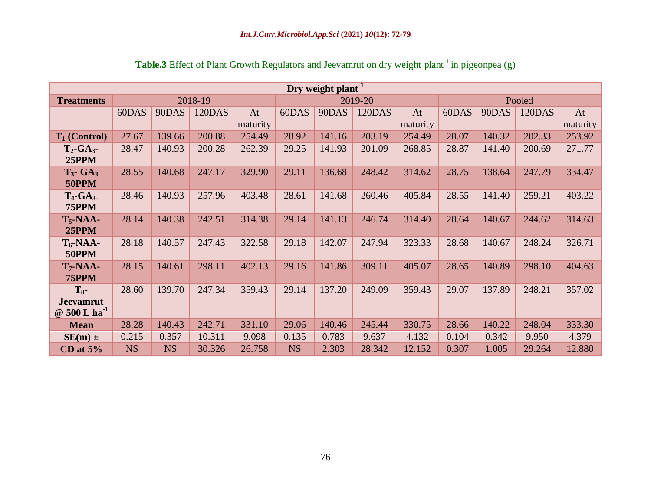| Dry weight plant <sup>-1</sup>                     |           |           |               |          |           |        |               |          |        |        |               |          |  |
|----------------------------------------------------|-----------|-----------|---------------|----------|-----------|--------|---------------|----------|--------|--------|---------------|----------|--|
| <b>Treatments</b>                                  |           |           | 2018-19       |          |           |        | 2019-20       |          | Pooled |        |               |          |  |
|                                                    | 60DAS     | 90DAS     | <b>120DAS</b> | At       | 60DAS     | 90DAS  | <b>120DAS</b> | At       | 60DAS  | 90DAS  | <b>120DAS</b> | At       |  |
|                                                    |           |           |               | maturity |           |        |               | maturity |        |        |               | maturity |  |
| $T_1$ (Control)                                    | 27.67     | 139.66    | 200.88        | 254.49   | 28.92     | 141.16 | 203.19        | 254.49   | 28.07  | 140.32 | 202.33        | 253.92   |  |
| $T_2$ -GA <sub>3</sub> -<br>25PPM                  | 28.47     | 140.93    | 200.28        | 262.39   | 29.25     | 141.93 | 201.09        | 268.85   | 28.87  | 141.40 | 200.69        | 271.77   |  |
| $T_3$ - GA <sub>3</sub><br>50PPM                   | 28.55     | 140.68    | 247.17        | 329.90   | 29.11     | 136.68 | 248.42        | 314.62   | 28.75  | 138.64 | 247.79        | 334.47   |  |
| $T_4$ -GA <sub>3</sub> .<br>75PPM                  | 28.46     | 140.93    | 257.96        | 403.48   | 28.61     | 141.68 | 260.46        | 405.84   | 28.55  | 141.40 | 259.21        | 403.22   |  |
| $T_5$ -NAA-<br><b>25PPM</b>                        | 28.14     | 140.38    | 242.51        | 314.38   | 29.14     | 141.13 | 246.74        | 314.40   | 28.64  | 140.67 | 244.62        | 314.63   |  |
| $T_6$ -NAA-<br>50PPM                               | 28.18     | 140.57    | 247.43        | 322.58   | 29.18     | 142.07 | 247.94        | 323.33   | 28.68  | 140.67 | 248.24        | 326.71   |  |
| $T_7$ -NAA-<br>75PPM                               | 28.15     | 140.61    | 298.11        | 402.13   | 29.16     | 141.86 | 309.11        | 405.07   | 28.65  | 140.89 | 298.10        | 404.63   |  |
| $T_{8}$ -<br><b>Jeevamrut</b><br>@ 500 L $ha^{-1}$ | 28.60     | 139.70    | 247.34        | 359.43   | 29.14     | 137.20 | 249.09        | 359.43   | 29.07  | 137.89 | 248.21        | 357.02   |  |
| <b>Mean</b>                                        | 28.28     | 140.43    | 242.71        | 331.10   | 29.06     | 140.46 | 245.44        | 330.75   | 28.66  | 140.22 | 248.04        | 333.30   |  |
| $SE(m)$ ±                                          | 0.215     | 0.357     | 10.311        | 9.098    | 0.135     | 0.783  | 9.637         | 4.132    | 0.104  | 0.342  | 9.950         | 4.379    |  |
| CD at $5%$                                         | <b>NS</b> | <b>NS</b> | 30.326        | 26.758   | <b>NS</b> | 2.303  | 28.342        | 12.152   | 0.307  | 1.005  | 29.264        | 12.880   |  |

Table.3 Effect of Plant Growth Regulators and Jeevamrut on dry weight plant<sup>-1</sup> in pigeonpea (g)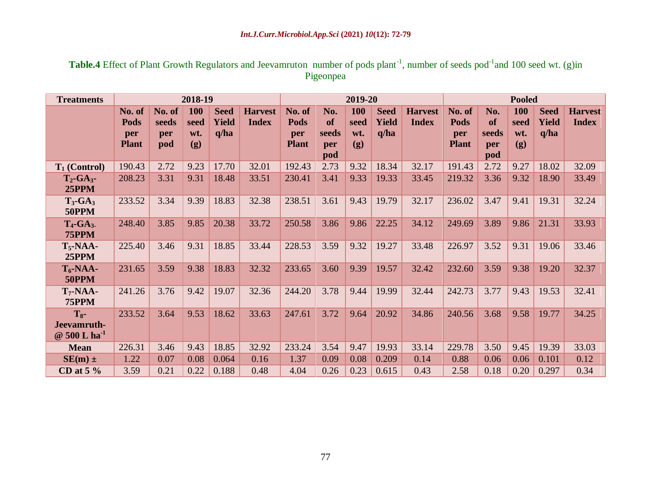| Table.4 Effect of Plant Growth Regulators and Jeevamruton number of pods plant <sup>-1</sup> , number of seeds pod <sup>-1</sup> and 100 seed wt. (g)in |           |  |  |
|---------------------------------------------------------------------------------------------------------------------------------------------------------|-----------|--|--|
|                                                                                                                                                         | Pigeonpea |  |  |

| <b>Treatments</b>                                      | 2018-19                               |                               |                           |                              |                                | 2019-20                               |                                         |                           |                              |                                | <b>Pooled</b>                                |                                         |                           |                                     |                                |
|--------------------------------------------------------|---------------------------------------|-------------------------------|---------------------------|------------------------------|--------------------------------|---------------------------------------|-----------------------------------------|---------------------------|------------------------------|--------------------------------|----------------------------------------------|-----------------------------------------|---------------------------|-------------------------------------|--------------------------------|
|                                                        | No. of<br>Pods<br>per<br><b>Plant</b> | No. of<br>seeds<br>per<br>pod | 100<br>seed<br>wt.<br>(g) | <b>Seed</b><br>Yield<br>q/ha | <b>Harvest</b><br><b>Index</b> | No. of<br>Pods<br>per<br><b>Plant</b> | No.<br><b>of</b><br>seeds<br>per<br>pod | 100<br>seed<br>wt.<br>(g) | <b>Seed</b><br>Yield<br>q/ha | <b>Harvest</b><br><b>Index</b> | No. of<br><b>Pods</b><br>per<br><b>Plant</b> | No.<br><b>of</b><br>seeds<br>per<br>pod | 100<br>seed<br>wt.<br>(g) | <b>Seed</b><br><b>Yield</b><br>q/ha | <b>Harvest</b><br><b>Index</b> |
| $T_1$ (Control)                                        | 190.43                                | 2.72                          | 9.23                      | 17.70                        | 32.01                          | 192.43                                | 2.73                                    | 9.32                      | 18.34                        | 32.17                          | 191.43                                       | 2.72                                    | 9.27                      | 18.02                               | 32.09                          |
| $T_2$ -GA <sub>3</sub> -<br>25PPM                      | 208.23                                | 3.31                          | 9.31                      | 18.48                        | 33.51                          | 230.41                                | 3.41                                    | 9.33                      | 19.33                        | 33.45                          | 219.32                                       | 3.36                                    | 9.32                      | 18.90                               | 33.49                          |
| $T_3$ -GA <sub>3</sub><br>50PPM                        | 233.52                                | 3.34                          | 9.39                      | 18.83                        | 32.38                          | 238.51                                | 3.61                                    | 9.43                      | 19.79                        | 32.17                          | 236.02                                       | 3.47                                    | 9.41                      | 19.31                               | 32.24                          |
| $T_4$ -GA <sub>3</sub> .<br>75PPM                      | 248.40                                | 3.85                          | 9.85                      | 20.38                        | 33.72                          | 250.58                                | 3.86                                    | 9.86                      | 22.25                        | 34.12                          | 249.69                                       | 3.89                                    | 9.86                      | 21.31                               | 33.93                          |
| $T_5$ -NAA-<br><b>25PPM</b>                            | 225.40                                | 3.46                          | 9.31                      | 18.85                        | 33.44                          | 228.53                                | 3.59                                    | 9.32                      | 19.27                        | 33.48                          | 226.97                                       | 3.52                                    | 9.31                      | 19.06                               | 33.46                          |
| $T_6$ -NAA-<br>50PPM                                   | 231.65                                | 3.59                          | 9.38                      | 18.83                        | 32.32                          | 233.65                                | 3.60                                    | 9.39                      | 19.57                        | 32.42                          | 232.60                                       | 3.59                                    | 9.38                      | 19.20                               | 32.37                          |
| $T_7$ -NAA-<br><b>75PPM</b>                            | 241.26                                | 3.76                          | 9.42                      | 19.07                        | 32.36                          | 244.20                                | 3.78                                    | 9.44                      | 19.99                        | 32.44                          | 242.73                                       | 3.77                                    | 9.43                      | 19.53                               | 32.41                          |
| $T_{8}$ -<br>Jeevamruth-<br>$@$ 500 L ha <sup>-1</sup> | 233.52                                | 3.64                          | 9.53                      | 18.62                        | 33.63                          | 247.61                                | 3.72                                    | 9.64                      | 20.92                        | 34.86                          | 240.56                                       | 3.68                                    | 9.58                      | 19.77                               | 34.25                          |
| <b>Mean</b>                                            | 226.31                                | 3.46                          | 9.43                      | 18.85                        | 32.92                          | 233.24                                | 3.54                                    | 9.47                      | 19.93                        | 33.14                          | 229.78                                       | 3.50                                    | 9.45                      | 19.39                               | 33.03                          |
| $SE(m)$ ±                                              | 1.22                                  | 0.07                          | 0.08                      | 0.064                        | 0.16                           | 1.37                                  | 0.09                                    | 0.08                      | 0.209                        | 0.14                           | 0.88                                         | 0.06                                    | 0.06                      | 0.101                               | 0.12                           |
| CD at $5\%$                                            | 3.59                                  | 0.21                          | 0.22                      | 0.188                        | 0.48                           | 4.04                                  | 0.26                                    | 0.23                      | 0.615                        | 0.43                           | 2.58                                         | 0.18                                    | 0.20                      | 0.297                               | 0.34                           |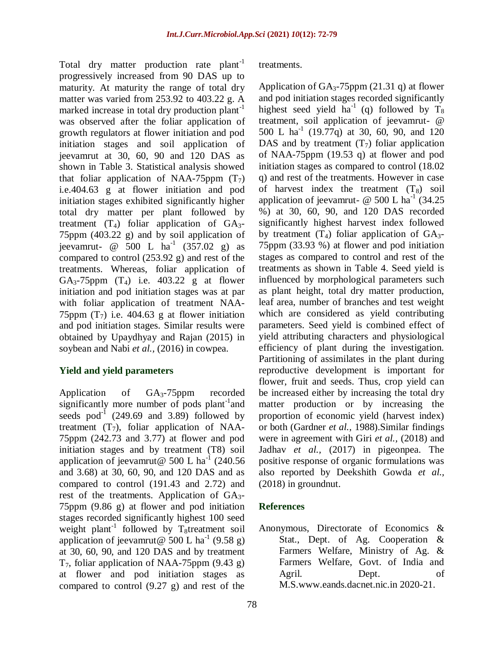Total dry matter production rate plant<sup>-1</sup> progressively increased from 90 DAS up to maturity. At maturity the range of total dry matter was varied from 253.92 to 403.22 g. A marked increase in total dry production plant<sup>-1</sup> was observed after the foliar application of growth regulators at flower initiation and pod initiation stages and soil application of jeevamrut at 30, 60, 90 and 120 DAS as shown in Table 3. Statistical analysis showed that foliar application of NAA-75ppm  $(T_7)$ i.e.404.63 g at flower initiation and pod initiation stages exhibited significantly higher total dry matter per plant followed by treatment  $(T_4)$  foliar application of  $GA_3$ -75ppm (403.22 g) and by soil application of jeevamrut- @ 500 L  $ha^{-1}$  (357.02 g) as compared to control (253.92 g) and rest of the treatments. Whereas, foliar application of GA<sub>3</sub>-75ppm  $(T_4)$  i.e. 403.22 g at flower initiation and pod initiation stages was at par with foliar application of treatment NAA-75ppm  $(T_7)$  i.e. 404.63 g at flower initiation and pod initiation stages. Similar results were obtained by Upaydhyay and Rajan (2015) in soybean and Nabi *et al.,* (2016) in cowpea.

#### **Yield and yield parameters**

Application of GA3-75ppm recorded significantly more number of pods plant<sup>-1</sup> and seeds pod $^{-1}$  (249.69 and 3.89) followed by treatment  $(T_7)$ , foliar application of NAA-75ppm (242.73 and 3.77) at flower and pod initiation stages and by treatment (T8) soil application of jeevamrut@ 500 L ha<sup>-1</sup> (240.56) and 3.68) at 30, 60, 90, and 120 DAS and as compared to control (191.43 and 2.72) and rest of the treatments. Application of  $GA_{3}$ -75ppm (9.86 g) at flower and pod initiation stages recorded significantly highest 100 seed weight plant<sup>-1</sup> followed by T<sub>8</sub>treatment soil application of jeevamrut @ 500 L ha<sup>-1</sup> (9.58 g) at 30, 60, 90, and 120 DAS and by treatment  $T_7$ , foliar application of NAA-75ppm (9.43 g) at flower and pod initiation stages as compared to control (9.27 g) and rest of the

treatments.

Application of  $GA_3$ -75ppm (21.31 q) at flower and pod initiation stages recorded significantly highest seed yield  $ha^{-1}$  (q) followed by  $T_8$ treatment, soil application of jeevamrut- @ 500 L ha<sup>-1</sup> (19.77q) at 30, 60, 90, and 120 DAS and by treatment  $(T_7)$  foliar application of NAA-75ppm (19.53 q) at flower and pod initiation stages as compared to control (18.02 q) and rest of the treatments. However in case of harvest index the treatment  $(T_8)$  soil application of jeevamrut- @ 500 L ha<sup>-1</sup> (34.25) %) at 30, 60, 90, and 120 DAS recorded significantly highest harvest index followed by treatment  $(T_4)$  foliar application of  $GA_{3-}$ 75ppm (33.93 %) at flower and pod initiation stages as compared to control and rest of the treatments as shown in Table 4. Seed yield is influenced by morphological parameters such as plant height, total dry matter production, leaf area, number of branches and test weight which are considered as yield contributing parameters. Seed yield is combined effect of yield attributing characters and physiological efficiency of plant during the investigation. Partitioning of assimilates in the plant during reproductive development is important for flower, fruit and seeds. Thus, crop yield can be increased either by increasing the total dry matter production or by increasing the proportion of economic yield (harvest index) or both (Gardner *et al.,* 1988).Similar findings were in agreement with Giri *et al.,* (2018) and Jadhav *et al.,* (2017) in pigeonpea. The positive response of organic formulations was also reported by Deekshith Gowda *et al.,* (2018) in groundnut.

#### **References**

Anonymous, Directorate of Economics & Stat., Dept. of Ag. Cooperation & Farmers Welfare, Ministry of Ag. & Farmers Welfare, Govt. of India and Agril. Dept. of M.S[.www.eands.dacnet.nic.in](http://www.eands.dacnet.nic.in/) 2020-21.